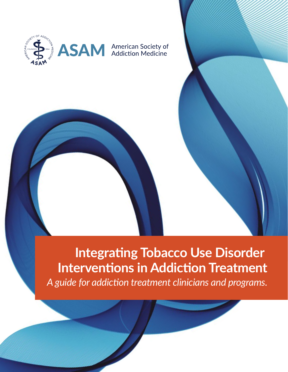

# **Integrating Tobacco Use Disorder Interventions in Addiction Treatment**

*A guide for addiction treatment clinicians and programs.*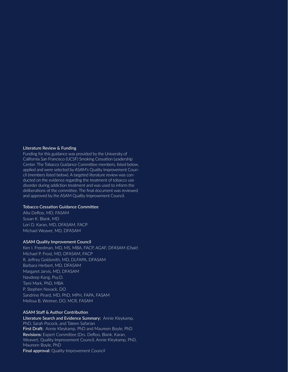#### Literature Review & Funding

Funding for this guidance was provided by the University of California San Francisco (UCSF) Smoking Cessation Leadership Center. The Tobacco Guidance Committee members, listed below, applied and were selected by ASAM's Quality Improvement Council (members listed below). A targeted literature review was conducted on the evidence regarding the treatment of tobacco use disorder during addiction treatment and was used to inform the deliberations of the committee. The final document was reviewed and approved by the ASAM Quality Improvement Council.

#### Tobacco Cessation Guidance Committee

Alta DeRoo, MD, FASAM Susan K. Blank, MD Lori D. Karan, MD, DFASAM, FACP Michael Weaver, MD, DFASAM

#### ASAM Quality Improvement Council

Ken I. Freedman, MD, MS, MBA, FACP, AGAF, DFASAM *(Chair)* Michael P. Frost, MD, DFASAM, FACP R. Jeffrey Goldsmith, MD, DLFAPA, DFASAM Barbara Herbert, MD, DFASAM Margaret Jarvis, MD, DFASAM Navdeep Kang, Psy.D. Tami Mark, PhD, MBA P. Stephen Novack, DO Sandrine Pirard, MD, PhD, MPH, FAPA, FASAM Melissa B. Weimer, DO, MCR, FASAM

#### ASAM Staff & Author Contribution

Literature Search and Evidence Summary: Annie Kleykamp, PhD, Sarah Pocock, and Taleen Safarian First Draft: Annie Kleykamp, PhD and Maureen Boyle, PhD Revisions: Expert Committee (Drs. DeRoo, Blank, Karan, Weaver), Quality Improvement Council, Annie Kleykamp, PhD, Maureen Boyle, PhD Final approval: Quality Improvement Council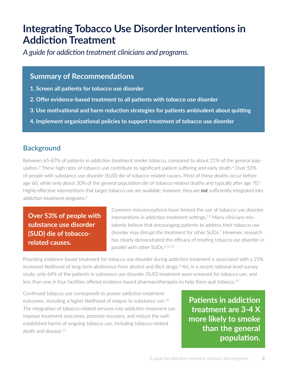# **Integrating Tobacco Use Disorder Interventions in Addiction Treatment**

*A guide for addiction treatment clinicians and programs.* 

# **Summary of Recommendations**

- **1. Screen all patients for tobacco use disorder**
- **2. Offer evidence-based treatment to all patients with tobacco use disorder**
- **3. Use motivational and harm reduction strategies for patients ambivalent about quitting**
- **4. Implement organizational policies to support treatment of tobacco use disorder**

# **Background**

Between 65-87% of patients in addiction treatment smoke tobacco, compared to about 21% of the general population.<sup>3</sup> These high rates of tobacco use contribute to significant patient suffering and early death.<sup>4</sup> Over 53% of people with substance use disorder (SUD) die of tobacco-related causes. Most of these deaths occur before age 60, while only about 30% of the general population die of tobacco-related deaths and typically after age 70.<sup>5</sup> Highly effective interventions that target tobacco use are available; however, they are *not* sufficiently integrated into addiction treatment programs.<sup>6</sup>

**Over 53% of people with substance use disorder (SUD) die of tobaccorelated causes.**

Common misconceptions have limited the use of tobacco use disorder interventions in addiction treatment settings.<sup>7-9</sup> Many clinicians mistakenly believe that encouraging patients to address their tobacco use disorder may disrupt the treatment for other SUDs.<sup>7</sup> However, research has clearly demonstrated the efficacy of treating tobacco use disorder in parallel with other SUDs.<sup>8,10-12</sup>

Providing evidence-based treatment for tobacco use disorder during addiction treatment is associated with a 25% increased likelihood of long-term abstinence from alcohol and illicit drugs.<sup>8</sup> Yet, in a recent national-level survey study, only 64% of the patients in substance use disorder (SUD) treatment were screened for tobacco use, and less than one in four facilities offered evidence-based pharmacotherapies to help them quit tobacco.<sup>13</sup>

Continued tobacco use corresponds to poorer addiction treatment outcomes, including a higher likelihood of relapse to substance use.14 The integration of tobacco-related services into addiction treatment can improve treatment outcomes, promote recovery, and reduce the wellestablished harms of ongoing tobacco use, including tobacco-related death and disease.15

**Patients in addiction treatment are 3-4 X more likely to smoke than the general population.**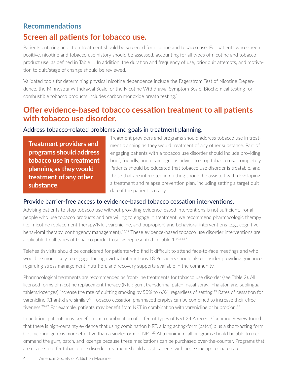## **Recommendations**

# **Screen all patients for tobacco use.**

Patients entering addiction treatment should be screened for nicotine and tobacco use. For patients who screen positive, nicotine and tobacco use history should be assessed, accounting for all types of nicotine and tobacco product use, as defined in Table 1. In addition, the duration and frequency of use, prior quit attempts, and motivation to quit/stage of change should be reviewed.

Validated tools for determining physical nicotine dependence include the Fagerstrom Test of Nicotine Dependence, the Minnesota Withdrawal Scale, or the Nicotine Withdrawal Symptom Scale. Biochemical testing for combustible tobacco products includes carbon monoxide breath testing.1

# **Offer evidence-based tobacco cessation treatment to all patients with tobacco use disorder.**

#### Address tobacco-related problems and goals in treatment planning.

**Treatment providers and programs should address tobacco use in treatment planning as they would treatment of any other substance.**

Treatment providers and programs should address tobacco use in treatment planning as they would treatment of any other substance. Part of engaging patients with a tobacco use disorder should include providing brief, friendly, and unambiguous advice to stop tobacco use completely. Patients should be educated that tobacco use disorder is treatable, and those that are interested in quitting should be assisted with developing a treatment and relapse prevention plan, including setting a target quit date if the patient is ready.

#### Provide barrier-free access to evidence-based tobacco cessation interventions.

Advising patients to stop tobacco use without providing evidence-based interventions is not sufficient. For all people who use tobacco products and are willing to engage in treatment, we recommend pharmacologic therapy (i.e., nicotine replacement therapy/NRT, varenicline, and bupropion) and behavioral interventions (e.g., cognitive behavioral therapy, contingency management).16,17 These evidence-based tobacco use disorder interventions are applicable to all types of tobacco product use, as represented in Table 1.<sup>10,11,17</sup>

Telehealth visits should be considered for patients who find it difficult to attend face-to-face meetings and who would be more likely to engage through virtual interactions.18 Providers should also consider providing guidance regarding stress management, nutrition, and recovery supports available in the community.

Pharmacological treatments are recommended as front-line treatments for tobacco use disorder (see Table 2). All licensed forms of nicotine replacement therapy (NRT; gum, transdermal patch, nasal spray, inhalator, and sublingual tablets/lozenges) increase the rate of quitting smoking by 50% to 60%, regardless of setting.19 Rates of cessation for varenicline (Chantix) are similar.<sup>20</sup> Tobacco cessation pharmacotherapies can be combined to increase their effectiveness.<sup>20-22</sup> For example, patients may benefit from NRT in combination with varenicline or bupropion.<sup>23</sup>

In addition, patients may benefit from a combination of different types of NRT.24 A recent Cochrane Review found that there is high-certainty evidence that using combination NRT, a long acting-form (patch) plus a short-acting form (i.e., nicotine gum) is more effective than a single-form of NRT.22 At a minimum, all programs should be able to recommend the gum, patch, and lozenge because these medications can be purchased over-the-counter. Programs that are unable to offer tobacco use disorder treatment should assist patients with accessing appropriate care.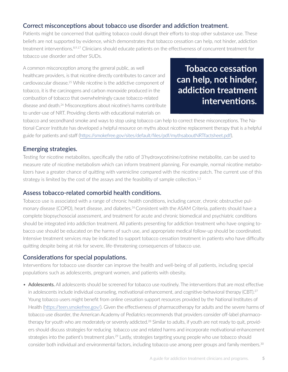## Correct misconceptions about tobacco use disorder and addiction treatment.

Patients might be concerned that quitting tobacco could disrupt their efforts to stop other substance use. These beliefs are not supported by evidence, which demonstrates that tobacco cessation can help, not hinder, addiction treatment interventions.<sup>8,9,17</sup> Clinicians should educate patients on the effectiveness of concurrent treatment for tobacco use disorder and other SUDs.

A common misconception among the general public, as well healthcare providers, is that nicotine directly contributes to cancer and cardiovascular disease.25 While nicotine is the addictive component of tobacco, it is the carcinogens and carbon monoxide produced in the combustion of tobacco that overwhelmingly cause tobacco-related disease and death.<sup>26</sup> Misconceptions about nicotine's harms contribute to under-use of NRT. Providing clients with educational materials on

**Tobacco cessation can help, not hinder, addiction treatment interventions.**

tobacco and secondhand smoke and ways to stop using tobacco can help to correct these misconceptions. The National Cancer Institute has developed a helpful resource on myths about nicotine replacement therapy that is a helpful guide for patients and staff [\(https://smokefree.gov/sites/default/files/pdf/mythsaboutNRTfactsheet.pdf\)](https://smokefree.gov/sites/default/files/pdf/mythsaboutNRTfactsheet.pdf).

## Emerging strategies.

Testing for nicotine metabolites, specifically the ratio of 3'hydroxycotinine/cotinine metabolite, can be used to measure rate of nicotine metabolism which can inform treatment planning. For example, normal nicotine metabolizers have a greater chance of quitting with varenicline compared with the nicotine patch. The current use of this strategy is limited by the cost of the assays and the feasibility of sample collection.<sup>1,2</sup>

## Assess tobacco-related comorbid health conditions.

Tobacco use is associated with a range of chronic health conditions, including cancer, chronic obstructive pulmonary disease (COPD), heart disease, and diabetes.<sup>26</sup> Consistent with the ASAM Criteria, patients should have a complete biopsychosocial assessment, and treatment for acute and chronic biomedical and psychiatric conditions should be integrated into addiction treatment. All patients presenting for addiction treatment who have ongoing tobacco use should be educated on the harms of such use, and appropriate medical follow-up should be coordinated. Intensive treatment services may be indicated to support tobacco cessation treatment in patients who have difficulty quitting despite being at risk for severe, life-threatening consequences of tobacco use.

## Considerations for special populations.

Interventions for tobacco use disorder can improve the health and well-being of all patients, including special populations such as adolescents, pregnant women, and patients with obesity.

• Adolescents. All adolescents should be screened for tobacco use routinely. The interventions that are most effective in adolescents include individual counseling, motivational enhancement, and cognitive-behavioral therapy (CBT).<sup>27</sup> Young tobacco users might benefit from online cessation support resources provided by the National Institutes of Health (https://teen.smokefree.gov/). Given the effectiveness of pharmacotherapy for adults and the severe harms of tobacco use disorder, the American Academy of Pediatrics recommends that providers consider off-label pharmacotherapy for youth who are moderately or severely addicted.<sup>28</sup> Similar to adults, if youth are not ready to quit, providers should discuss strategies for reducing tobacco use and related harms and incorporate motivational enhancement strategies into the patient's treatment plan.<sup>29</sup> Lastly, strategies targeting young people who use tobacco should consider both individual and environmental factors, including tobacco use among peer groups and family members.30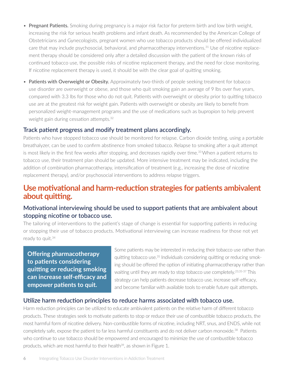- Pregnant Patients. Smoking during pregnancy is a major risk factor for preterm birth and low birth weight, increasing the risk for serious health problems and infant death. As recommended by the American College of Obstetricians and Gynecologists, pregnant women who use tobacco products should be offered individualized care that may include psychosocial, behavioral, and pharmacotherapy interventions.31 Use of nicotine replacement therapy should be considered only after a detailed discussion with the patient of the known risks of continued tobacco use, the possible risks of nicotine replacement therapy, and the need for close monitoring. If nicotine replacement therapy is used, it should be with the clear goal of quitting smoking.
- Patients with Overweight or Obesity. Approximately two-thirds of people seeking treatment for tobacco use disorder are overweight or obese, and those who quit smoking gain an average of 9 lbs over five years, compared with 3.3 lbs for those who do not quit. Patients with overweight or obesity prior to quitting tobacco use are at the greatest risk for weight gain. Patients with overweight or obesity are likely to benefit from personalized weight-management programs and the use of medications such as bupropion to help prevent weight gain during cessation attempts.32

#### Track patient progress and modify treatment plans accordingly.

Patients who have stopped tobacco use should be monitored for relapse. Carbon dioxide testing, using a portable breathalyzer, can be used to confirm abstinence from smoked tobacco. Relapse to smoking after a quit attempt is most likely in the first few weeks after stopping, and decreases rapidly over time.<sup>33</sup> When a patient returns to tobacco use, their treatment plan should be updated. More intensive treatment may be indicated, including the addition of combination pharmacotherapy, intensification of treatment (e.g., increasing the dose of nicotine replacement therapy), and/or psychosocial interventions to address relapse triggers.

# **Use motivational and harm-reduction strategies for patients ambivalent about quitting.**

## Motivational interviewing should be used to support patients that are ambivalent about stopping nicotine or tobacco use.

The tailoring of interventions to the patient's stage of change is essential for supporting patients in reducing or stopping their use of tobacco products. Motivational interviewing can increase readiness for those not yet ready to quit.<sup>34</sup>

**Offering pharmacotherapy to patients considering quitting or reducing smoking can increase self-efficacy and empower patients to quit.** 

Some patients may be interested in reducing their tobacco use rather than quitting tobacco use.35 Individuals considering quitting or reducing smoking should be offered the option of initiating pharmacotherapy rather than waiting until they are ready to stop tobacco use completely.<sup>23,35-37</sup> This strategy can help patients decrease tobacco use, increase self-efficacy, and become familiar with available tools to enable future quit attempts.

#### Utilize harm reduction principles to reduce harms associated with tobacco use.

Harm reduction principles can be utilized to educate ambivalent patients on the relative harm of different tobacco products. These strategies seek to motivate patients to stop or reduce their use of combustible tobacco products, the most harmful form of nicotine delivery. Non-combustible forms of nicotine, including NRT, snus, and ENDS, while not completely safe, expose the patient to far less harmful constituents and do not deliver carbon monoxide.<sup>38</sup> Patients who continue to use tobacco should be empowered and encouraged to minimize the use of combustible tobacco products, which are most harmful to their health<sup>39</sup>, as shown in Figure 1.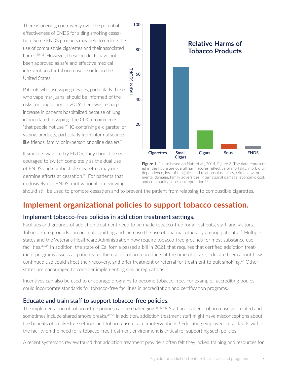There is ongoing controversy over the potential effectiveness of ENDS for aiding smoking cessation. Some ENDS products may help to reduce the use of combustible cigarettes and their associated harms.40-42 However, these products have not been approved as safe and effective medical interventions for tobacco use disorder in the United States.

Patients who use vaping devices, particularly those who vape marijuana, should be informed of the risks for lung injury. In 2019 there was a sharp increase in patients hospitalized because of lung injury related to vaping. The CDC recommends "that people not use THC-containing e-cigarette, or vaping, products, particularly from informal sources like friends, family, or in-person or online dealers."

If smokers want to try ENDS, they should be encouraged to switch completely as the dual use of ENDS and combustible cigarettes may undermine efforts at cessation.<sup>39</sup> For patients that exclusively use ENDS, motivational interviewing





should still be used to promote cessation and to prevent the patient from relapsing to combustible cigarettes.

# **Implement organizational policies to support tobacco cessation.**

## Implement tobacco-free policies in addiction treatment settings.

Facilities and grounds of addiction treatment need to be made tobacco-free for all patients, staff, and visitors. Tobacco-free grounds can promote quitting and increase the use of pharmacotherapy among patients.<sup>43</sup> Multiple states and the Veterans Healthcare Administration now require tobacco-free grounds for most substance use facilities.44,45 In addition, the state of California passed a bill in 2021 that requires that certified addiction treatment programs assess all patients for the use of tobacco products at the time of intake, educate them about how continued use could affect their recovery, and offer treatment or referral for treatment to quit smoking.<sup>46</sup> Other states are encouraged to consider implementing similar regulations.

Incentives can also be used to encourage programs to become tobacco-free. For example, accrediting bodies could incorporate standards for tobacco-free facilities in accreditation and certification programs.

#### Educate and train staff to support tobacco-free policies.

The implementation of tobacco-free policies can be challenging.<sup>45,47,4</sup>8 Staff and patient tobacco use are related and sometimes include shared smoke breaks.<sup>49,50</sup> In addition, addiction treatment staff might have misconceptions about the benefits of smoke-free settings and tobacco use disorder interventions.<sup>6</sup> Educating employees at all levels within the facility on the need for a tobacco-free treatment environment is critical for supporting such policies.

A recent systematic review found that addiction treatment providers often felt they lacked training and resources for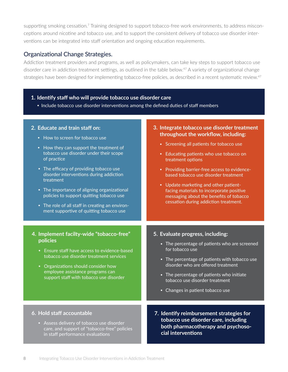supporting smoking cessation.<sup>7</sup> Training designed to support tobacco-free work environments, to address misconceptions around nicotine and tobacco use, and to support the consistent delivery of tobacco use disorder interventions can be integrated into staff orientation and ongoing education requirements.

## Organizational Change Strategies.

Addiction treatment providers and programs, as well as policymakers, can take key steps to support tobacco use disorder care in addiction treatment settings, as outlined in the table below.<sup>47</sup> A variety of organizational change strategies have been designed for implementing tobacco-free policies, as described in a recent systematic review.<sup>47</sup>

#### **1. Identify staff who will provide tobacco use disorder care**

• Include tobacco use disorder interventions among the defined duties of staff members

| 2. Educate and train staff on:<br>• How to screen for tobacco use<br>• How they can support the treatment of<br>tobacco use disorder under their scope<br>of practice<br>• The efficacy of providing tobacco use<br>disorder interventions during addiction<br>treatment<br>• The importance of aligning organizational<br>policies to support quitting tobacco use<br>• The role of all staff in creating an environ-<br>ment supportive of quitting tobacco use | 3. Integrate tobacco use disorder treatment<br>throughout the workflow, including:<br>• Screening all patients for tobacco use<br>• Educating patients who use tobacco on<br>treatment options<br>• Providing barrier-free access to evidence-<br>based tobacco use disorder treatment<br>• Update marketing and other patient-<br>facing materials to incorporate positive<br>messaging about the benefits of tobacco<br>cessation during addiction treatment. |
|-------------------------------------------------------------------------------------------------------------------------------------------------------------------------------------------------------------------------------------------------------------------------------------------------------------------------------------------------------------------------------------------------------------------------------------------------------------------|-----------------------------------------------------------------------------------------------------------------------------------------------------------------------------------------------------------------------------------------------------------------------------------------------------------------------------------------------------------------------------------------------------------------------------------------------------------------|
| 4. Implement facilty-wide "tobacco-free"<br>policies<br>• Ensure staff have access to evidence-based<br>tobacco use disorder treatment services<br>• Organizations should consider how<br>employee assistance programs can<br>support staff with tobacco use disorder                                                                                                                                                                                             | 5. Evaluate progress, including:<br>• The percentage of patients who are screened<br>for tobacco use<br>• The percentage of patients with tobacco use<br>disorder who are offered treatment<br>• The percentage of patients who initiate<br>tobacco use disorder treatment<br>• Changes in patient tobacco use                                                                                                                                                  |
| 6. Hold staff accountable<br>• Assess delivery of tobacco use disorder<br>care, and support of "tobacco-free" policies<br>in staff performance evaluations                                                                                                                                                                                                                                                                                                        | 7. Identify reimbursement strategies for<br>tobacco use disorder care, including<br>both pharmacotherapy and psychoso-<br>cial interventions                                                                                                                                                                                                                                                                                                                    |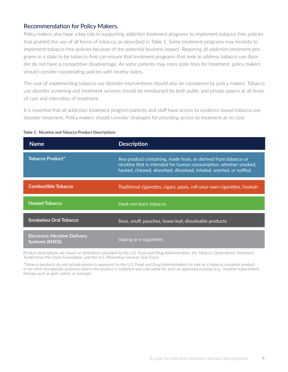## Recommendation for Policy Makers.

Policy makers also have a key role in supporting addiction treatment programs to implement tobacco-free policies that prohibit the use of all forms of tobacco, as described in Table 1. Some treatment programs may hesitate to implement tobacco-free policies because of the potential business impact. Requiring all addiction treatment programs in a state to be tobacco-free can ensure that treatment programs that seek to address tobacco use disorder do not have a competitive disadvantage. As some patients may cross state lines for treatment, policy makers should consider coordinating policies with nearby states.

The cost of implementing tobacco use disorder interventions should also be considered by policy makers. Tobacco use disorder screening and treatment services should be reimbursed by both public and private payers at all levels of care and intensities of treatment.

It is essential that all addiction treatment program patients and staff have access to evidence-based tobacco use disorder treatment. Policy makers should consider strategies for providing access to treatment at no cost.

| <b>Name</b>                                                  | <b>Description</b>                                                                                                                                                                                      |
|--------------------------------------------------------------|---------------------------------------------------------------------------------------------------------------------------------------------------------------------------------------------------------|
| <b>Tobacco Product*</b>                                      | Any product containing, made from, or derived from tobacco or<br>nicotine that is intended for human consumption, whether smoked,<br>heated, chewed, absorbed, dissolved, inhaled, snorted, or sniffed. |
| <b>Combustible Tobacco</b>                                   | Traditional cigarettes, cigars, pipes, roll-your-own cigarettes, hookah                                                                                                                                 |
| <b>Heated Tobacco</b>                                        | Heat-not-burn tobacco                                                                                                                                                                                   |
| <b>Smokeless Oral Tobacco</b>                                | Snus, snuff, pouches, loose-leaf, dissolvable products                                                                                                                                                  |
| <b>Electronic Nicotine Delivery</b><br><b>Systems (ENDS)</b> | Vaping or e-cigarettes                                                                                                                                                                                  |

#### **Table 1: Nicotine and Tobacco Product Descriptions**

Product descriptions are based on definitions provided by the U.S. Food and Drug Administration, the Tobacco Dependence Treatment Toolkit from the Chest Foundation, and the U.S. Preventive Services Task Force.

\*Tobacco products do not include products approved by the U.S. Food and Drug Administration for sale as a tobacco cessation product or for other therapeutic purposes where the product is marketed and sold solely for such an approved purpose (e.g., nicotine replacement therapy such as gum, patch, or lozenge).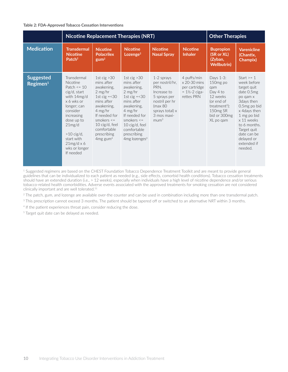#### **Table 2: FDA-Approved Tobacco Cessation Interventions**

|                                          | <b>Nicotine Replacement Therapies (NRT)</b>                                                                                                                                                                                                      |                                                                                                                                                                                                                                    |                                                                                                                                                                                                                                         |                                                                                                                                                    |                                                                                                 | <b>Other Therapies</b>                                                                                                                               |                                                                                                                                                                                                                                          |
|------------------------------------------|--------------------------------------------------------------------------------------------------------------------------------------------------------------------------------------------------------------------------------------------------|------------------------------------------------------------------------------------------------------------------------------------------------------------------------------------------------------------------------------------|-----------------------------------------------------------------------------------------------------------------------------------------------------------------------------------------------------------------------------------------|----------------------------------------------------------------------------------------------------------------------------------------------------|-------------------------------------------------------------------------------------------------|------------------------------------------------------------------------------------------------------------------------------------------------------|------------------------------------------------------------------------------------------------------------------------------------------------------------------------------------------------------------------------------------------|
| <b>Medication</b>                        | <b>Transdermal</b><br><b>Nicotine</b><br>Patch <sup>2</sup>                                                                                                                                                                                      | <b>Nicotine</b><br><b>Polacrilex</b><br>$g \text{u} \text{m}^2$                                                                                                                                                                    | <b>Nicotine</b><br>Lozenge <sup>2</sup>                                                                                                                                                                                                 | <b>Nicotine</b><br><b>Nasal Spray</b>                                                                                                              | <b>Nicotine</b><br><b>Inhaler</b>                                                               | <b>Bupropion</b><br>(SR or XL)<br>(Zyban,<br><b>Wellbutrin)</b>                                                                                      | <b>Varenicline</b><br>(Chantix,<br>Champix)                                                                                                                                                                                              |
| <b>Suggested</b><br>Regimen <sup>1</sup> | Transdermal<br><b>Nicotine</b><br>Patch $\leq$ 10<br>cig/d, start<br>with 14mg/d<br>x 6 wks or<br>longer; can<br>consider<br>increasing<br>dose up to<br>21mg/d<br>$>10$ cig/d,<br>start with<br>$21mg/d \times 6$<br>wks or longer<br>If needed | 1st cig $>30$<br>mins after<br>awakening.<br>$2$ mg/hr<br>1st cig $= < 30$<br>mins after<br>awakening,<br>$4$ mg/hr<br>If needed for<br>smokers $\leq$<br>$10$ cig/d, feel<br>comfortable<br>prescribing<br>$4mg$ gum <sup>4</sup> | 1st cig $>30$<br>mins after<br>awakening.<br>$2$ mg/hr<br>1st cig $= < 30$<br>mins after<br>awakening.<br>$4$ mg/hr<br>If needed for<br>smokers $\leq$<br>$10$ cig/d, feel<br>comfortable<br>prescribing<br>$4mg$ lozenges <sup>4</sup> | 1-2 sprays<br>per nostril/hr.<br>PRN.<br>Increase to<br>5 sprays per<br>nostril per hr<br>(max 80<br>sprays total) x<br>3 mos maxi-<br>$m \cdot 1$ | 4 puffs/min<br>$\times$ 20-30 mins<br>per cartridge<br>$= 1\frac{1}{2} - 2$ ciga-<br>rettes PRN | Days 1-3:<br>150mg po<br>qam<br>Day 4 to<br>12 weeks<br>(or end of<br>treatment <sup>5</sup> ):<br>150 <sub>mg</sub> SR<br>bid or 300mg<br>XL po gam | Start $\geq 1$<br>week before<br>target quit<br>date 0.5mg<br>po gam x<br>3 days then<br>0.5mg po bid<br>x 4days then<br>1 mg po bid<br>x 11 weeks<br>to 6 months.<br>Target quit<br>date can be<br>delayed or<br>extended if<br>needed. |

<sup>1</sup> Suggested regimens are based on the CHEST Foundation Tobacco Dependence Treatment Toolkit and are meant to provide general guidelines that can be individualized to each patient as needed (e.g., side effects, comorbid health conditions). Tobacco cessation treatments should have an extended duration (i.e., > 12 weeks), especially when individuals have a high level of nicotine dependence and/or serious tobacco-related health comorbidities. Adverse events associated with the approved treatments for smoking cessation are not considered clinically important and are well tolerated.51

<sup>2</sup> The patch, gum, and lozenge are available over-the counter and can be used in combination including more than one transdermal patch.

<sup>3</sup> This prescription cannot exceed 3 months. The patient should be tapered off or switched to an alternative NRT within 3 months.

<sup>4</sup> If the patient experiences throat pain, consider reducing the dose.

<sup>5</sup> Target quit date can be delayed as needed.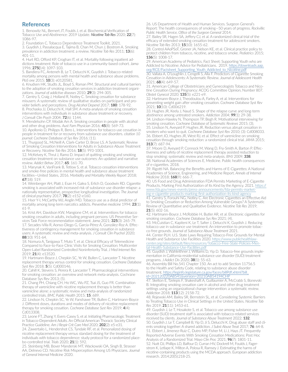#### **References**

1. Benowitz NL, Bernert JT, Foulds J, et al. Biochemical Verification of Tobacco Use and Abstinence: 2019 Update. *Nicotine Tob Res* 2020; **22**(7): 1086-97.

2. Foundation C. Tobacco Dependence Treatment Toolkit, 2021.

3. Guydish J, Passalacqua E, Tajima B, Chan M, Chun J, Bostrom A. Smoking prevalence in addiction treatment: a review. *Nicotine Tob Res* 2011; **13**(6): 401-11.

4. Hurt RD, Offord KP, Croghan IT, et al. Mortality following inpatient addictions treatment: Role of tobacco use in a community-based cohort. *Jama*  1996; **275(**14): 1097-103.

5. Bandiera FC, Anteneh B, Le T, Delucchi K, Guydish J. Tobacco-related mortality among persons with mental health and substance abuse problems. *PloS one* 2015; **10**(3): e0120581.

6. Knudsen HK, Studts JL, Boyd S, Roman PM. Structural and cultural barriers to the adoption of smoking cessation services in addiction treatment organizations. *Journal of addictive diseases* 2010; **29**(3): 294-305.

7. Gentry S, Craig J, Holland R, Notley C. Smoking cessation for substance misusers: A systematic review of qualitative studies on participant and provider beliefs and perceptions. *Drug Alcohol Depend* 2017; **180**: 178-92.

8. Prochaska JJ, Delucchi K, Hall SM. A meta-analysis of smoking cessation interventions with individuals in substance abuse treatment or recovery. *J Consult Clin Psych* 2004; **72**(6): 1144.

9. Mendelsohn CP, Wodak Am A. Smoking cessation in people with alcohol and other drug problems. *Aust Fam Physician* 2016; **45**(8): 569-73.

10. Apollonio D, Philipps R, Bero L. Interventions for tobacco use cessation in people in treatment for or recovery from substance use disorders. *citation 10 journal: Cochrane Database of Sys Rev* 2016; (11).

11. Thurgood SL, McNeill A, Clark-Carter D, Brose LS. A Systematic Review of Smoking Cessation Interventions for Adults in Substance Abuse Treatment or Recovery. *Nicotine Tob Res* 2016; **18**(5): 993-1001.

12. McKelvey K, Thrul J, Ramo D. Impact of quitting smoking and smoking cessation treatment on substance use outcomes: An updated and narrative review. *Addict Behav* 2017; **65**: 161-70.

13. Marynak K, VanFrank B, Tetlow S, et al. Tobacco cessation interventions and smoke-free policies in mental health and substance abuse treatment facilities—United States, 2016. *Morbidity and Mortality Weekly Report* 2018; **67**(18): 519.

14. Weinberger AH, Platt J, Esan H, Galea S, Erlich D, Goodwin RD. Cigarette smoking is associated with increased risk of substance use disorder relapse: a nationally representative, prospective longitudinal investigation. *The Journal of clinical psychiatry* 2017; **78**(2): e152-e160.

15. Hser Y-I, McCarthy WJ, Anglin MD. Tobacco use as a distal predictor of mortality among long-term narcotics addicts. *Preventive medicine* 1994; **23**(1): 61-9.

16. Krist AH, Davidson KW, Mangione CM, et al. Interventions for tobacco smoking cessation in adults, including pregnant persons: US Preventive Services Task Force recommendation statement. *Jama* 2021; **325**(3): 265-79. 17. Secades-Villa R, Aonso-Diego G, García-Pérez Á, González-Roz A. Effectiveness of contingency management for smoking cessation in substance users: A systematic review and meta-analysis. *J Consult Clin Psychol* 2020; **88**(10): 951-64.

18. Nomura A, Tanigawa T, Muto T, et al. Clinical Efficacy of Telemedicine Compared to Face-to-Face Clinic Visits for Smoking Cessation: Multicenter Open-Label Randomized Controlled Noninferiority Trial. *J Med Internet Res* 2019; **21**(4): e13520.

19. Hartmann-Boyce J, Chepkin SC, Ye W, Bullen C, Lancaster T. Nicotine replacement therapy versus control for smoking cessation. *Cochrane Database Syst Rev* 2018; **5**(5): Cd000146.

20. Cahill K, Stevens S, Perera R, Lancaster T. Pharmacological interventions for smoking cessation: an overview and network meta‐analysis. Cochrane Database Sys Rev 2013; (5).

21. Chang PH, Chiang CH, Ho WC, Wu PZ, Tsai JS, Guo FR. Combination therapy of varenicline with nicotine replacement therapy is better than varenicline alone: a systematic review and meta-analysis of randomized controlled trials. *BMC Public Health* 2015; **15**: 689.

22. Lindson N, Chepkin SC, Ye W, Fanshawe TR, Bullen C, Hartmann-Boyce J. Different doses, durations and modes of delivery of nicotine replacement therapy for smoking cessation. *Cochrane Database Syst Rev* 2019; **4**(4): Cd013308.

23. Leone FT, Zhang Y, Evers-Casey S, et al. Initiating Pharmacologic Treatment in Tobacco-Dependent Adults. An Official American Thoracic Society Clinical Practice Guideline. *Am J Respir Crit Care Med* 2020; **202**(2): e5-e31. 24. Zawertailo L, Hendershot CS, Tyndale RF, et al. Personalized dosing of nicotine replacement therapy versus standard dosing for the treatment of

individuals with tobacco dependence: study protocol for a randomized placebo-controlled trial. *Trials* 2020; **21**(1): 592. 25. Steinberg MB, Bover Manderski MT, Wackowski OA, Singh B, Strasser

AA, Delnevo CD. Nicotine Risk Misperception Among US Physicians. *Journal of General Internal Medicine* 2020.

26. US Department of Health and Human Services. Surgeon General's Report: The health consequences of smoking—50 years of progress. *Rockville: Public Health Service, Office of the Surgeon General* 2014.

27. Bailey SR, Hagen SA, Jeffery CJ, et al. A randomized clinical trial of the efficacy of extended smoking cessation treatment for adolescent smokers. *Nicotine Tob Res* 2013; **15**(10): 1655-62.

28. Control AAoPSoT, Groner JA, Nelson KE, et al. Clinical practice policy to protect children from tobacco, nicotine, and tobacco smoke. *Pediatrics* 2015; **136**(5): 1008-17

29. American Academy of Pediatrics. Fact Sheet: Supporting Youth who are Addicted to Nicotine: Advice for Pediatricians. 2019. [https://downloads.aap.](https://downloads.aap.org/RCE/Factsheet_Supporting_Youth_Addicted_to_Nicotine.pdf) [org/RCE/Factsheet\\_Supporting\\_Youth\\_Addicted\\_to\\_Nicotine.pdf](https://downloads.aap.org/RCE/Factsheet_Supporting_Youth_Addicted_to_Nicotine.pdf)

30. Vallata A, O'Loughlin J, Cengelli S, Alla F. Predictors of Cigarette Smoking Cessation in Adolescents: A Systematic Review. *Journal of Adolescent Health* 2021; **68**(4): 649-57.

31. American College of Obstetricians and Gynecologists Tobacco and Nicotine Cessation During Pregnancy: ACOG Committee Opinion, Number 807. *Obstet Gynecol* 2020; **135**(5): e221-e9.

32. Hartmann-Boyce J, Theodoulou A, Farley A, et al. Interventions for preventing weight gain after smoking cessation. *Cochrane Database Syst Rev* 2021; **10**(10): Cd006219.

33. Hughes JR, Keely J, Naud S. Shape of the relapse curve and long-term abstinence among untreated smokers. *Addiction* 2004; **99**(1): 29-38. 34. Lindson‐Hawley N, Thompson TP, Begh R. Motivational interviewing for

smoking cessation. *Cochrane Database of Systematic Reviews* 2015; (3). 35. Lindson N, Aveyard P, Hughes JR. Reduction versus abrupt cessation in smokers who want to quit. *Cochrane Database Syst Rev* 2010; (3): Cd008033. 36. Ebbert JO, Hughes JR, West RJ, et al. Effect of varenicline on smoking cessation through smoking reduction: a randomized clinical trial. *JAMA* 2015; **313**(7): 687-94.

37. Moore D, Aveyard P, Connock M, Wang D, Fry-Smith A, Barton P. Effectiveness and safety of nicotine replacement therapy assisted reduction to stop smoking: systematic review and meta-analysis. *BMJ* 2009; **338**. 38. National Academies of Sciences E, Medicine. Public health consequences of e-cigarettes. 2018.

39. Rigotti NA. Balancing the Benefits and Harms of E-Cigarettes: A National Academies of Science, Engineering, and Medicine Report. *Annals of Internal Medicine* 2018; **168**(9): 666-7.

40. US Food and Drug Administration FDA Permits Marketing of E-Cigarette Products, Marking First Authorization of Its Kind by the Agency. 2021. [https://](https://www.fda.gov/news-events/press-announcements/fda-permits-marketing-e-cigarette-products-marking-first-authorization-its-kind-agency) [www.fda.gov/news-events/press-announcements/fda-permits-market](https://www.fda.gov/news-events/press-announcements/fda-permits-marketing-e-cigarette-products-marking-first-authorization-its-kind-agency)[ing-e-cigarette-products-marking-first-authorization-its-kind-agency.](https://www.fda.gov/news-events/press-announcements/fda-permits-marketing-e-cigarette-products-marking-first-authorization-its-kind-agency)

41. Gentry S, Forouhi NG, Notley C. Are Electronic Cigarettes an Effective Aid to Smoking Cessation or Reduction Among Vulnerable Groups? A Systematic Review of Quantitative and Qualitative Evidence. *Nicotine Tob Res* 2019; **21**(5): 602-16.

42. Hartmann-Boyce J, McRobbie H, Butler AR, et al. Electronic cigarettes for smoking cessation. *Cochrane Database Sys Rev* 2021; (4).

43. McCuistian C, Kapiteni K, Le T, Safier J, Delucchi K, Guydish J. Reducing tobacco use in substance use treatment: An intervention to promote tobacco-free grounds. *Journal of Substance Abuse Treatment* 2021.

44. Center PLH. U.S. State Laws Requiring Tobacco-Free Grounds for Mental Health and Substance Use Facilities 2020. [https://www.publichealthlaw](https://www.publichealthlawcenter.org/sites/default/files/resources/Tobacco-Free-State-Policies-Mental-Health-Substance-Use-Facilities.pdf)[center.org/sites/default/files/resources/Tobacco-Free-State-Policies-Men](https://www.publichealthlawcenter.org/sites/default/files/resources/Tobacco-Free-State-Policies-Mental-Health-Substance-Use-Facilities.pdf)[tal-Health-Substance-Use-Facilities.pdf.](https://www.publichealthlawcenter.org/sites/default/files/resources/Tobacco-Free-State-Policies-Mental-Health-Substance-Use-Facilities.pdf)

45. Guydish J, Wahleithner J, Williams D, Yip D. Tobacco-free grounds implementation in California residential substance use disorder (SUD) treatment programs. *J Addict Dis* 2020; **38**(1): 55-63.

46. Assembly Bill No.541 Chapter 150. An act to add Section 11756.5 to the Health and Safety Code, relating to substance abuse disorder treatment. [https://leginfo.legislature.ca.gov/faces/billPdf.xhtml?bill\\_](https://leginfo.legislature.ca.gov/faces/billPdf.xhtml?bill_id=202120220AB541&version=20210AB54194CHP) [id=202120220AB541&version=20210AB54194CHP](https://leginfo.legislature.ca.gov/faces/billPdf.xhtml?bill_id=202120220AB541&version=20210AB54194CHP)

47. Skelton E, Tzelepis F, Shakeshaft A, Guillaumier A, McCrabb S, Bonevski B. Integrating smoking cessation care in alcohol and other drug treatment settings using an organizational change intervention: a systematic review. *Addiction* 2018; **113**(12): 2158-72.

48. Rojewski AM, Bailey SR, Bernstein SL, et al. Considering Systemic Barriers to Treating Tobacco Use in Clinical Settings in the United States. *Nicotine Tob Res* 2019; **21**(11): 1453-61.

49. Guydish J, Le T, Hosakote S, et al. Tobacco use among substance use disorder (SUD) treatment staff is associated with tobacco-related services received by clients. *Journal of Substance Abuse Treatment* 2022; **132**. 50. Guydish J, Le T, Campbell B, Yip D, Ji S, Delucchi K. Drug abuse staff and clients smoking together: A shared addiction. *J Subst Abuse Treat* 2017; **76**: 64-8. 51. Ebbert J, Jimenez-Ruiz C, Dutro MP, Fisher M, Li J, Hays JT. Frequently Reported Adverse Events With Smoking Cessation Medications: Post Hoc Analysis of a Randomized Trial. *Mayo Clin Proc* 2021; **96**(7): 1801-11. 52. Nutt DJ, Phillips LD, Balfour D, Curran HV, Dockrell M, Foulds J, Fagerstrom K, Letlape K, Milton A, Polosa R, Ramsey J. Estimating the harms of nicotine-containing products using the MCDA approach. European addiction research. 2014;20(5):218-25.